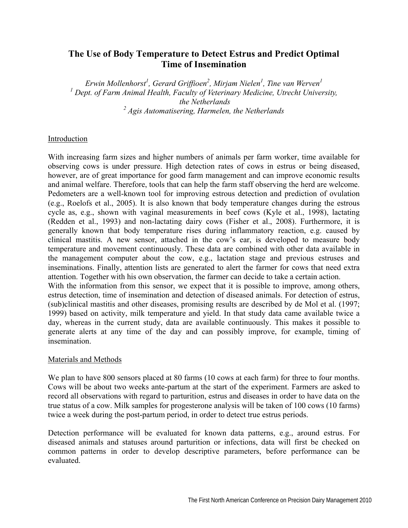## **The Use of Body Temperature to Detect Estrus and Predict Optimal Time of Insemination**

*Erwin Mollenhorst<sup>1</sup> , Gerard Griffioen2 , Mirjam Nielen1 , Tine van Werven1* <sup>1</sup> Dept. of Farm Animal Health, Faculty of Veterinary Medicine, Utrecht University,  *the Netherlands 2 Agis Automatisering, Harmelen, the Netherlands* 

## Introduction

With increasing farm sizes and higher numbers of animals per farm worker, time available for observing cows is under pressure. High detection rates of cows in estrus or being diseased, however, are of great importance for good farm management and can improve economic results and animal welfare. Therefore, tools that can help the farm staff observing the herd are welcome. Pedometers are a well-known tool for improving estrous detection and prediction of ovulation (e.g., Roelofs et al., 2005). It is also known that body temperature changes during the estrous cycle as, e.g., shown with vaginal measurements in beef cows (Kyle et al., 1998), lactating (Redden et al., 1993) and non-lactating dairy cows (Fisher et al., 2008). Furthermore, it is generally known that body temperature rises during inflammatory reaction, e.g. caused by clinical mastitis. A new sensor, attached in the cow's ear, is developed to measure body temperature and movement continuously. These data are combined with other data available in the management computer about the cow, e.g., lactation stage and previous estruses and inseminations. Finally, attention lists are generated to alert the farmer for cows that need extra attention. Together with his own observation, the farmer can decide to take a certain action. With the information from this sensor, we expect that it is possible to improve, among others, estrus detection, time of insemination and detection of diseased animals. For detection of estrus, (sub)clinical mastitis and other diseases, promising results are described by de Mol et al. (1997; 1999) based on activity, milk temperature and yield. In that study data came available twice a day, whereas in the current study, data are available continuously. This makes it possible to generate alerts at any time of the day and can possibly improve, for example, timing of insemination.

## Materials and Methods

We plan to have 800 sensors placed at 80 farms (10 cows at each farm) for three to four months. Cows will be about two weeks ante-partum at the start of the experiment. Farmers are asked to record all observations with regard to parturition, estrus and diseases in order to have data on the true status of a cow. Milk samples for progesterone analysis will be taken of 100 cows (10 farms) twice a week during the post-partum period, in order to detect true estrus periods.

Detection performance will be evaluated for known data patterns, e.g., around estrus. For diseased animals and statuses around parturition or infections, data will first be checked on common patterns in order to develop descriptive parameters, before performance can be evaluated.